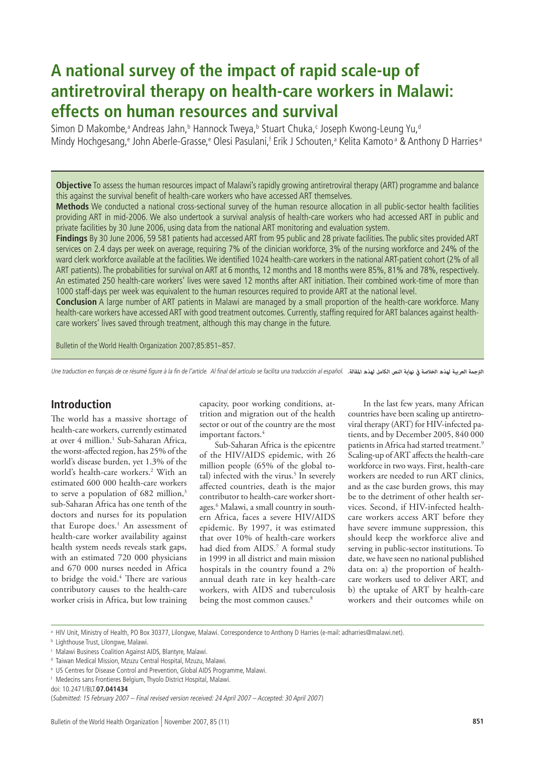# **A national survey of the impact of rapid scale-up of antiretroviral therapy on health-care workers in Malawi: effects on human resources and survival**

Simon D Makombe,<sup>a</sup> Andreas Jahn,<sup>b</sup> Hannock Tweya,<sup>b</sup> Stuart Chuka,<sup>c</sup> Joseph Kwong-Leung Yu,<sup>d</sup> Mindy Hochgesang,<sup>e</sup> John Aberle-Grasse,<sup>e</sup> Olesi Pasulani,f Erik J Schouten,ª Kelita Kamotoª & Anthony D Harriesª

**Objective** To assess the human resources impact of Malawi's rapidly growing antiretroviral therapy (ART) programme and balance this against the survival benefit of health-care workers who have accessed ART themselves.

**Methods** We conducted a national cross-sectional survey of the human resource allocation in all public-sector health facilities providing ART in mid-2006. We also undertook a survival analysis of health-care workers who had accessed ART in public and private facilities by 30 June 2006, using data from the national ART monitoring and evaluation system.

**Findings** By 30 June 2006, 59 581 patients had accessed ART from 95 public and 28 private facilities. The public sites provided ART services on 2.4 days per week on average, requiring 7% of the clinician workforce, 3% of the nursing workforce and 24% of the ward clerk workforce available at the facilities. We identified 1024 health-care workers in the national ART-patient cohort (2% of all ART patients). The probabilities for survival on ART at 6 months, 12 months and 18 months were 85%, 81% and 78%, respectively. An estimated 250 health-care workers' lives were saved 12 months after ART initiation. Their combined work-time of more than 1000 staff-days per week was equivalent to the human resources required to provide ART at the national level.

**Conclusion** A large number of ART patients in Malawi are managed by a small proportion of the health-care workforce. Many health-care workers have accessed ART with good treatment outcomes. Currently, staffing required for ART balances against healthcare workers' lives saved through treatment, although this may change in the future.

Bulletin of the World Health Organization 2007;85:851–857.

Une traduction en français de ce résumé figure à la fin de l'article. Al final del artículo se facilita una traducción al español. *الرتجمة العربية لهذه الخالصة يف نهاية النص الكامل لهذه املقالة.*

## **Introduction**

The world has a massive shortage of health-care workers, currently estimated at over 4 million.<sup>1</sup> Sub-Saharan Africa, the worst-affected region, has 25% of the world's disease burden, yet 1.3% of the world's health-care workers.2 With an estimated 600 000 health-care workers to serve a population of 682 million,<sup>3</sup> sub-Saharan Africa has one tenth of the doctors and nurses for its population that Europe does.<sup>1</sup> An assessment of health-care worker availability against health system needs reveals stark gaps, with an estimated 720 000 physicians and 670 000 nurses needed in Africa to bridge the void.<sup>4</sup> There are various contributory causes to the health-care worker crisis in Africa, but low training

capacity, poor working conditions, attrition and migration out of the health sector or out of the country are the most important factors.<sup>4</sup>

Sub-Saharan Africa is the epicentre of the HIV/AIDS epidemic, with 26 million people (65% of the global total) infected with the virus.<sup>5</sup> In severely affected countries, death is the major contributor to health-care worker shortages.<sup>6</sup> Malawi, a small country in southern Africa, faces a severe HIV/AIDS epidemic. By 1997, it was estimated that over 10% of health-care workers had died from AIDS.7 A formal study in 1999 in all district and main mission hospitals in the country found a 2% annual death rate in key health-care workers, with AIDS and tuberculosis being the most common causes.<sup>8</sup>

In the last few years, many African countries have been scaling up antiretroviral therapy (ART) for HIV-infected patients, and by December 2005, 840 000 patients in Africa had started treatment.<sup>9</sup> Scaling-up of ART affects the health-care workforce in two ways. First, health-care workers are needed to run ART clinics, and as the case burden grows, this may be to the detriment of other health services. Second, if HIV-infected healthcare workers access ART before they have severe immune suppression, this should keep the workforce alive and serving in public-sector institutions. To date, we have seen no national published data on: a) the proportion of healthcare workers used to deliver ART, and b) the uptake of ART by health-care workers and their outcomes while on

a HIV Unit, Ministry of Health, PO Box 30377, Lilongwe, Malawi. Correspondence to Anthony D Harries (e-mail: adharries@malawi.net).

**b** Lighthouse Trust, Lilongwe, Malawi.

c Malawi Business Coalition Against AIDS, Blantyre, Malawi.

d Taiwan Medical Mission, Mzuzu Central Hospital, Mzuzu, Malawi.

e US Centres for Disease Control and Prevention, Global AIDS Programme, Malawi.

f Medecins sans Frontieres Belgium, Thyolo District Hospital, Malawi.

doi: 10.2471/BLT.**07.041434**

<sup>(</sup>Submitted: 15 February 2007 – Final revised version received: 24 April 2007 – Accepted: 30 April 2007)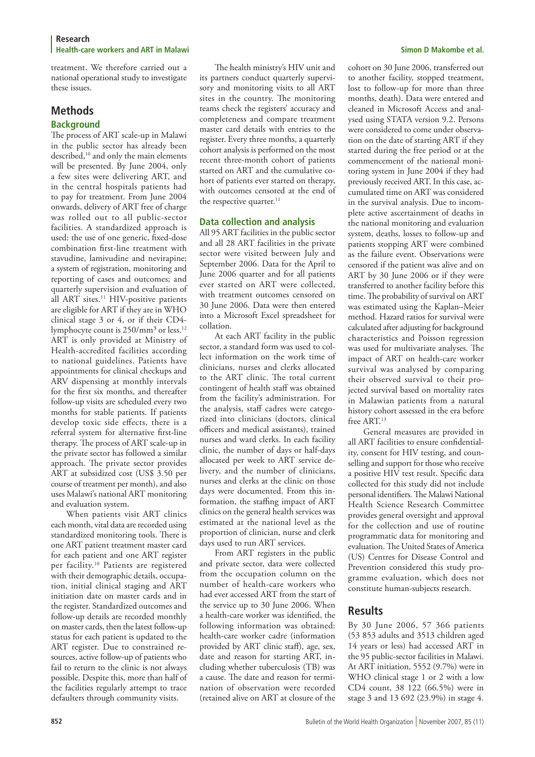treatment. We therefore carried out a national operational study to investigate these issues.

# **Methods**

### **Background**

The process of ART scale-up in Malawi in the public sector has already been described,<sup>10</sup> and only the main elements will be presented. By June 2004, only a few sites were delivering ART, and in the central hospitals patients had to pay for treatment. From June 2004 onwards, delivery of ART free of charge was rolled out to all public-sector facilities. A standardized approach is used: the use of one generic, fixed-dose combination first-line treatment with stavudine, lamivudine and nevirapine; a system of registration, monitoring and reporting of cases and outcomes; and quarterly supervision and evaluation of all ART sites.<sup>11</sup> HIV-positive patients are eligible for ART if they are in WHO clinical stage 3 or 4, or if their CD4 lymphocyte count is 250/mm<sup>3</sup> or less.<sup>12</sup> ART is only provided at Ministry of Health-accredited facilities according to national guidelines. Patients have appointments for clinical checkups and ARV dispensing at monthly intervals for the first six months, and thereafter follow-up visits are scheduled every two months for stable patients. If patients develop toxic side effects, there is a referral system for alternative first-line therapy. The process of ART scale-up in the private sector has followed a similar approach. The private sector provides ART at subsidized cost (US\$ 3.50 per course of treatment per month), and also uses Malawi's national ART monitoring and evaluation system.

When patients visit ART clinics each month, vital data are recorded using standardized monitoring tools. There is one ART patient treatment master card for each patient and one ART register per facility.10 Patients are registered with their demographic details, occupation, initial clinical staging and ART initiation date on master cards and in the register. Standardized outcomes and follow-up details are recorded monthly on master cards, then the latest follow-up status for each patient is updated to the ART register. Due to constrained resources, active follow-up of patients who fail to return to the clinic is not always possible. Despite this, more than half of the facilities regularly attempt to trace defaulters through community visits.

The health ministry's HIV unit and its partners conduct quarterly supervisory and monitoring visits to all ART sites in the country. The monitoring teams check the registers' accuracy and completeness and compare treatment master card details with entries to the register. Every three months, a quarterly cohort analysis is performed on the most recent three-month cohort of patients started on ART and the cumulative cohort of patients ever started on therapy, with outcomes censored at the end of the respective quarter.<sup>11</sup>

#### **Data collection and analysis**

All 95 ART facilities in the public sector and all 28 ART facilities in the private sector were visited between July and September 2006. Data for the April to June 2006 quarter and for all patients ever started on ART were collected, with treatment outcomes censored on 30 June 2006. Data were then entered into a Microsoft Excel spreadsheet for collation.

At each ART facility in the public sector, a standard form was used to collect information on the work time of clinicians, nurses and clerks allocated to the ART clinic. The total current contingent of health staff was obtained from the facility's administration. For the analysis, staff cadres were categorized into clinicians (doctors, clinical officers and medical assistants), trained nurses and ward clerks. In each facility clinic, the number of days or half-days allocated per week to ART service delivery, and the number of clinicians, nurses and clerks at the clinic on those days were documented. From this information, the staffing impact of ART clinics on the general health services was estimated at the national level as the proportion of clinician, nurse and clerk days used to run ART services.

From ART registers in the public and private sector, data were collected from the occupation column on the number of health-care workers who had ever accessed ART from the start of the service up to 30 June 2006. When a health-care worker was identified, the following information was obtained: health-care worker cadre (information provided by ART clinic staff), age, sex, date and reason for starting ART, including whether tuberculosis (TB) was a cause. The date and reason for termination of observation were recorded (retained alive on ART at closure of the

cohort on 30 June 2006, transferred out to another facility, stopped treatment, lost to follow-up for more than three months, death). Data were entered and cleaned in Microsoft Access and analysed using STATA version 9.2. Persons were considered to come under observation on the date of starting ART if they started during the free period or at the commencement of the national monitoring system in June 2004 if they had previously received ART. In this case, accumulated time on ART was considered in the survival analysis. Due to incomplete active ascertainment of deaths in the national monitoring and evaluation system, deaths, losses to follow-up and patients stopping ART were combined as the failure event. Observations were censored if the patient was alive and on ART by 30 June 2006 or if they were transferred to another facility before this time. The probability of survival on ART was estimated using the Kaplan–Meier method. Hazard ratios for survival were calculated after adjusting for background characteristics and Poisson regression was used for multivariate analyses. The impact of ART on health-care worker survival was analysed by comparing their observed survival to their projected survival based on mortality rates in Malawian patients from a natural history cohort assessed in the era before free ART.<sup>13</sup>

General measures are provided in all ART facilities to ensure confidentiality, consent for HIV testing, and counselling and support for those who receive a positive HIV test result. Specific data collected for this study did not include personal identifiers. The Malawi National Health Science Research Committee provides general oversight and approval for the collection and use of routine programmatic data for monitoring and evaluation. The United States of America (US) Centres for Disease Control and Prevention considered this study programme evaluation, which does not constitute human-subjects research.

# **Results**

By 30 June 2006, 57 366 patients (53 853 adults and 3513 children aged 14 years or less) had accessed ART in the 95 public-sector facilities in Malawi. At ART initiation, 5552 (9.7%) were in WHO clinical stage 1 or 2 with a low CD4 count, 38 122 (66.5%) were in stage 3 and 13 692 (23.9%) in stage 4.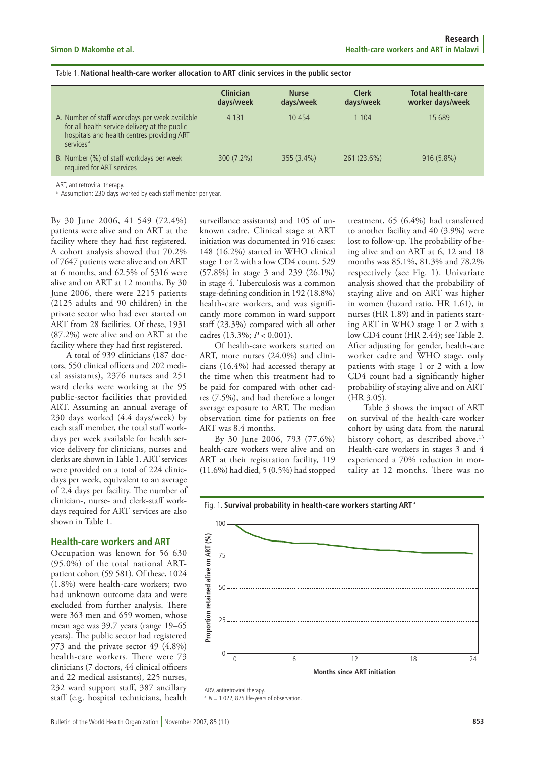#### Table 1. **National health-care worker allocation to ART clinic services in the public sector**

|                                                                                                                                                                        | <b>Clinician</b><br>days/week | <b>Nurse</b><br>days/week | <b>Clerk</b><br>days/week | <b>Total health-care</b><br>worker days/week |
|------------------------------------------------------------------------------------------------------------------------------------------------------------------------|-------------------------------|---------------------------|---------------------------|----------------------------------------------|
| A. Number of staff workdays per week available<br>for all health service delivery at the public<br>hospitals and health centres providing ART<br>services <sup>a</sup> | 4 1 3 1                       | 10454                     | 1 104                     | 15 689                                       |
| B. Number (%) of staff workdays per week<br>required for ART services                                                                                                  | $300(7.2\%)$                  | $355(3.4\%)$              | 261 (23.6%)               | $916(5.8\%)$                                 |

ART antiretroviral therapy.

a Assumption: 230 days worked by each staff member per year.

By 30 June 2006, 41 549 (72.4%) patients were alive and on ART at the facility where they had first registered. A cohort analysis showed that 70.2% of 7647 patients were alive and on ART at 6 months, and 62.5% of 5316 were alive and on ART at 12 months. By 30 June 2006, there were 2215 patients (2125 adults and 90 children) in the private sector who had ever started on ART from 28 facilities. Of these, 1931 (87.2%) were alive and on ART at the facility where they had first registered.

A total of 939 clinicians (187 doctors, 550 clinical officers and 202 medical assistants), 2376 nurses and 251 ward clerks were working at the 95 public-sector facilities that provided ART. Assuming an annual average of 230 days worked (4.4 days/week) by each staff member, the total staff workdays per week available for health service delivery for clinicians, nurses and clerks are shown in Table 1. ART services were provided on a total of 224 clinicdays per week, equivalent to an average of 2.4 days per facility. The number of clinician-, nurse- and clerk-staff workdays required for ART services are also shown in Table 1.

#### **Health-care workers and ART**

Occupation was known for 56 630 (95.0%) of the total national ARTpatient cohort (59 581). Of these, 1024 (1.8%) were health-care workers; two had unknown outcome data and were excluded from further analysis. There were 363 men and 659 women, whose mean age was 39.7 years (range 19–65 years). The public sector had registered 973 and the private sector 49 (4.8%) health-care workers. There were 73 clinicians (7 doctors, 44 clinical officers and 22 medical assistants), 225 nurses, 232 ward support staff, 387 ancillary staff (e.g. hospital technicians, health surveillance assistants) and 105 of unknown cadre. Clinical stage at ART initiation was documented in 916 cases: 148 (16.2%) started in WHO clinical stage 1 or 2 with a low CD4 count, 529 (57.8%) in stage 3 and 239 (26.1%) in stage 4. Tuberculosis was a common stage-defining condition in 192 (18.8%) health-care workers, and was significantly more common in ward support staff (23.3%) compared with all other cadres (13.3%; *P* < 0.001).

Of health-care workers started on ART, more nurses (24.0%) and clinicians (16.4%) had accessed therapy at the time when this treatment had to be paid for compared with other cadres (7.5%), and had therefore a longer average exposure to ART. The median observation time for patients on free ART was 8.4 months.

By 30 June 2006, 793 (77.6%) health-care workers were alive and on ART at their registration facility, 119 (11.6%) had died, 5 (0.5%) had stopped treatment, 65 (6.4%) had transferred to another facility and 40 (3.9%) were lost to follow-up. The probability of being alive and on ART at 6, 12 and 18 months was 85.1%, 81.3% and 78.2% respectively (see Fig. 1). Univariate analysis showed that the probability of staying alive and on ART was higher in women (hazard ratio, HR 1.61), in nurses (HR 1.89) and in patients starting ART in WHO stage 1 or 2 with a low CD4 count (HR 2.44); see Table 2. After adjusting for gender, health-care worker cadre and WHO stage, only patients with stage 1 or 2 with a low CD4 count had a significantly higher probability of staying alive and on ART (HR 3.05).

Table 3 shows the impact of ART on survival of the health-care worker cohort by using data from the natural history cohort, as described above.<sup>13</sup> Health-care workers in stages 3 and 4 experienced a 70% reduction in mortality at 12 months. There was no



Fig. 1. **Survival probability in health-care workers starting ART <sup>a</sup>**

 $N = 1022$ ; 875 life-years of observation.

ARV, antiretroviral therapy.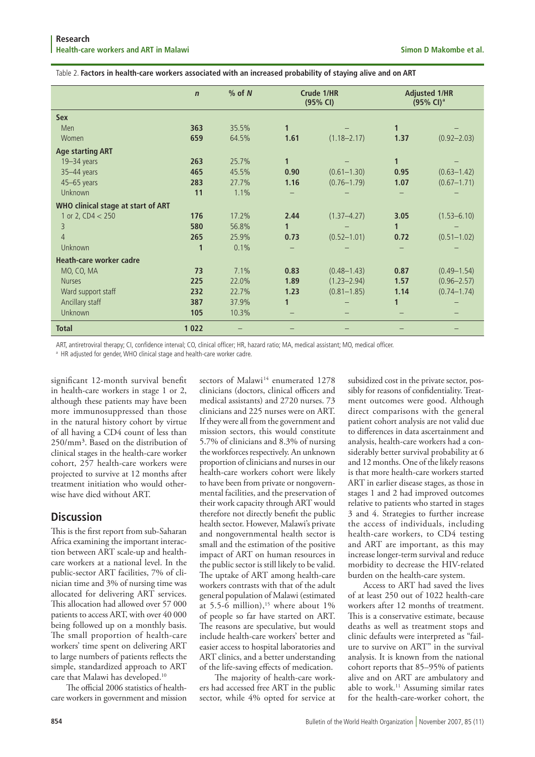Table 2. **Factors in health-care workers associated with an increased probability of staying alive and on ART**

|                                    | $\mathsf{n}$ | $%$ of $N$ | Crude 1/HR<br>(95% CI) |                 | <b>Adjusted 1/HR</b><br>$(95\% \text{ Cl})^{\text{a}}$ |                 |
|------------------------------------|--------------|------------|------------------------|-----------------|--------------------------------------------------------|-----------------|
| <b>Sex</b>                         |              |            |                        |                 |                                                        |                 |
| Men                                | 363          | 35.5%      | $\mathbf{1}$           |                 | 1                                                      |                 |
| Women                              | 659          | 64.5%      | 1.61                   | $(1.18 - 2.17)$ | 1.37                                                   | $(0.92 - 2.03)$ |
| <b>Age starting ART</b>            |              |            |                        |                 |                                                        |                 |
| 19-34 years                        | 263          | 25.7%      | $\mathbf{1}$           |                 | 1                                                      |                 |
| 35-44 years                        | 465          | 45.5%      | 0.90                   | $(0.61 - 1.30)$ | 0.95                                                   | $(0.63 - 1.42)$ |
| 45-65 years                        | 283          | 27.7%      | 1.16                   | $(0.76 - 1.79)$ | 1.07                                                   | $(0.67 - 1.71)$ |
| Unknown                            | 11           | 1.1%       |                        |                 |                                                        |                 |
| WHO clinical stage at start of ART |              |            |                        |                 |                                                        |                 |
| 1 or 2, $CD4 < 250$                | 176          | 17.2%      | 2.44                   | $(1.37 - 4.27)$ | 3.05                                                   | $(1.53 - 6.10)$ |
| 3                                  | 580          | 56.8%      | $\mathbf{1}$           |                 |                                                        |                 |
| 4                                  | 265          | 25.9%      | 0.73                   | $(0.52 - 1.01)$ | 0.72                                                   | $(0.51 - 1.02)$ |
| Unknown                            | 1            | 0.1%       |                        |                 |                                                        |                 |
| Heath-care worker cadre            |              |            |                        |                 |                                                        |                 |
| MO, CO, MA                         | 73           | 7.1%       | 0.83                   | $(0.48 - 1.43)$ | 0.87                                                   | $(0.49 - 1.54)$ |
| <b>Nurses</b>                      | 225          | 22.0%      | 1.89                   | $(1.23 - 2.94)$ | 1.57                                                   | $(0.96 - 2.57)$ |
| Ward support staff                 | 232          | 22.7%      | 1.23                   | $(0.81 - 1.85)$ | 1.14                                                   | $(0.74 - 1.74)$ |
| Ancillary staff                    | 387          | 37.9%      | 1                      |                 |                                                        |                 |
| <b>Unknown</b>                     | 105          | 10.3%      |                        |                 |                                                        |                 |
| <b>Total</b>                       | 1022         |            |                        |                 |                                                        |                 |

ART, antiretroviral therapy; CI, confidence interval; CO, clinical officer; HR, hazard ratio; MA, medical assistant; MO, medical officer.

<sup>a</sup> HR adjusted for gender, WHO clinical stage and health-care worker cadre.

significant 12-month survival benefit in health-care workers in stage 1 or 2, although these patients may have been more immunosuppressed than those in the natural history cohort by virtue of all having a CD4 count of less than 250/mm<sup>3</sup>. Based on the distribution of clinical stages in the health-care worker cohort, 257 health-care workers were projected to survive at 12 months after treatment initiation who would otherwise have died without ART.

# **Discussion**

This is the first report from sub-Saharan Africa examining the important interaction between ART scale-up and healthcare workers at a national level. In the public-sector ART facilities, 7% of clinician time and 3% of nursing time was allocated for delivering ART services. This allocation had allowed over 57 000 patients to access ART, with over 40 000 being followed up on a monthly basis. The small proportion of health-care workers' time spent on delivering ART to large numbers of patients reflects the simple, standardized approach to ART care that Malawi has developed.<sup>10</sup>

The official 2006 statistics of healthcare workers in government and mission sectors of Malawi<sup>14</sup> enumerated 1278 clinicians (doctors, clinical officers and medical assistants) and 2720 nurses. 73 clinicians and 225 nurses were on ART. If they were all from the government and mission sectors, this would constitute 5.7% of clinicians and 8.3% of nursing the workforces respectively. An unknown proportion of clinicians and nurses in our health-care workers cohort were likely to have been from private or nongovernmental facilities, and the preservation of their work capacity through ART would therefore not directly benefit the public health sector. However, Malawi's private and nongovernmental health sector is small and the estimation of the positive impact of ART on human resources in the public sector is still likely to be valid. The uptake of ART among health-care workers contrasts with that of the adult general population of Malawi (estimated at 5.5-6 million), $15$  where about 1% of people so far have started on ART. The reasons are speculative, but would include health-care workers' better and easier access to hospital laboratories and ART clinics, and a better understanding of the life-saving effects of medication.

The majority of health-care workers had accessed free ART in the public sector, while 4% opted for service at

subsidized cost in the private sector, possibly for reasons of confidentiality. Treatment outcomes were good. Although direct comparisons with the general patient cohort analysis are not valid due to differences in data ascertainment and analysis, health-care workers had a considerably better survival probability at 6 and 12 months. One of the likely reasons is that more health-care workers started ART in earlier disease stages, as those in stages 1 and 2 had improved outcomes relative to patients who started in stages 3 and 4. Strategies to further increase the access of individuals, including health-care workers, to CD4 testing and ART are important, as this may increase longer-term survival and reduce morbidity to decrease the HIV-related burden on the health-care system.

Access to ART had saved the lives of at least 250 out of 1022 health-care workers after 12 months of treatment. This is a conservative estimate, because deaths as well as treatment stops and clinic defaults were interpreted as "failure to survive on ART" in the survival analysis. It is known from the national cohort reports that 85–95% of patients alive and on ART are ambulatory and able to work.<sup>11</sup> Assuming similar rates for the health-care-worker cohort, the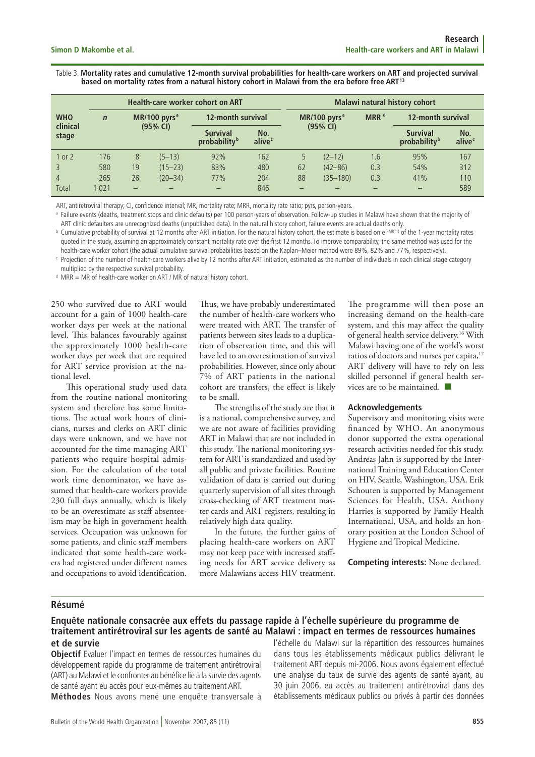Table 3. **Mortality rates and cumulative 12-month survival probabilities for health-care workers on ART and projected survival based on mortality rates from a natural history cohort in Malawi from the era before free ART <sup>13</sup>**

|                   |             | <b>Health-care worker cohort on ART</b> |                 |                                             |                           |    | <b>Malawi natural history cohort</b> |     |                                             |               |  |
|-------------------|-------------|-----------------------------------------|-----------------|---------------------------------------------|---------------------------|----|--------------------------------------|-----|---------------------------------------------|---------------|--|
| <b>WHO</b>        | $\mathbf n$ |                                         | MR/100 pyrs $a$ | 12-month survival                           |                           |    | MR/100 pyrs $a$                      |     | 12-month survival                           |               |  |
| clinical<br>stage |             |                                         | (95% CI)        | <b>Survival</b><br>probability <sup>b</sup> | No.<br>alive <sup>c</sup> |    | (95% CI)                             |     | <b>Survival</b><br>probability <sup>b</sup> | No.<br>alivec |  |
| 1 or 2            | 176         | 8                                       | $(5 - 13)$      | 92%                                         | 162                       |    | $(2-12)$                             | 1.6 | 95%                                         | 167           |  |
|                   | 580         | 19                                      | $(15 - 23)$     | 83%                                         | 480                       | 62 | $(42 - 86)$                          | 0.3 | 54%                                         | 312           |  |
| $\overline{4}$    | 265         | 26                                      | $(20 - 34)$     | 77%                                         | 204                       | 88 | $(35 - 180)$                         | 0.3 | 41%                                         | 110           |  |
| Total             | 1 0 2 1     | $\overline{\phantom{0}}$                |                 |                                             | 846                       |    |                                      |     |                                             | 589           |  |

ART, antiretroviral therapy; CI, confidence interval; MR, mortality rate; MRR, mortality rate ratio; pyrs, person-years.

**B** Failure events (deaths, treatment stops and clinic defaults) per 100 person-years of observation. Follow-up studies in Malawi have shown that the majority of ART clinic defaulters are unrecognized deaths (unpublished data). In the natural history cohort, failure events are actual deaths only.

**b** Cumulative probability of survival at 12 months after ART initiation. For the natural history cohort, the estimate is based on e<sup>(-MR\*1)</sup> of the 1-year mortality rates quoted in the study, assuming an approximately constant mortality rate over the first 12 months. To improve comparability, the same method was used for the health-care worker cohort (the actual cumulative survival probabilities based on the Kaplan–Meier method were 89%, 82% and 77%, respectively).

 $\cdot$  Projection of the number of health-care workers alive by 12 months after ART initiation, estimated as the number of individuals in each clinical stage category multiplied by the respective survival probability.

d MRR = MR of health-care worker on ART / MR of natural history cohort.

250 who survived due to ART would account for a gain of 1000 health-care worker days per week at the national level. This balances favourably against the approximately 1000 health-care worker days per week that are required for ART service provision at the national level.

This operational study used data from the routine national monitoring system and therefore has some limitations. The actual work hours of clinicians, nurses and clerks on ART clinic days were unknown, and we have not accounted for the time managing ART patients who require hospital admission. For the calculation of the total work time denominator, we have assumed that health-care workers provide 230 full days annually, which is likely to be an overestimate as staff absenteeism may be high in government health services. Occupation was unknown for some patients, and clinic staff members indicated that some health-care workers had registered under different names and occupations to avoid identification.

Thus, we have probably underestimated the number of health-care workers who were treated with ART. The transfer of patients between sites leads to a duplication of observation time, and this will have led to an overestimation of survival probabilities. However, since only about 7% of ART patients in the national cohort are transfers, the effect is likely to be small.

The strengths of the study are that it is a national, comprehensive survey, and we are not aware of facilities providing ART in Malawi that are not included in this study. The national monitoring system for ART is standardized and used by all public and private facilities. Routine validation of data is carried out during quarterly supervision of all sites through cross-checking of ART treatment master cards and ART registers, resulting in relatively high data quality.

In the future, the further gains of placing health-care workers on ART may not keep pace with increased staffing needs for ART service delivery as more Malawians access HIV treatment.

The programme will then pose an increasing demand on the health-care system, and this may affect the quality of general health service delivery.16 With Malawi having one of the world's worst ratios of doctors and nurses per capita,<sup>17</sup> ART delivery will have to rely on less skilled personnel if general health services are to be maintained.

#### **Acknowledgements**

Supervisory and monitoring visits were financed by WHO. An anonymous donor supported the extra operational research activities needed for this study. Andreas Jahn is supported by the International Training and Education Center on HIV, Seattle, Washington, USA. Erik Schouten is supported by Management Sciences for Health, USA. Anthony Harries is supported by Family Health International, USA, and holds an honorary position at the London School of Hygiene and Tropical Medicine.

**Competing interests:** None declared.

#### **Résumé**

#### **Enquête nationale consacrée aux effets du passage rapide à l'échelle supérieure du programme de traitement antirétroviral sur les agents de santé au Malawi : impact en termes de ressources humaines et de survie**

**Objectif** Evaluer l'impact en termes de ressources humaines du développement rapide du programme de traitement antirétroviral (ART) au Malawi et le confronter au bénéfice lié à la survie des agents de santé ayant eu accès pour eux-mêmes au traitement ART. **Méthodes** Nous avons mené une enquête transversale à l'échelle du Malawi sur la répartition des ressources humaines dans tous les établissements médicaux publics délivrant le traitement ART depuis mi-2006. Nous avons également effectué une analyse du taux de survie des agents de santé ayant, au 30 juin 2006, eu accès au traitement antirétroviral dans des établissements médicaux publics ou privés à partir des données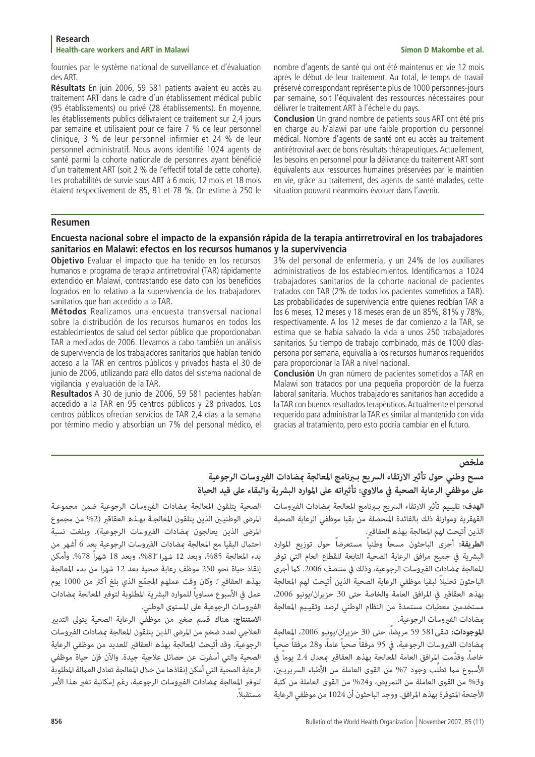#### **Research Health-care workers and ART in Malawi Simon D Makombe et al.**

fournies par le système national de surveillance et d'évaluation des ART.

**Résultats** En juin 2006, 59 581 patients avaient eu accès au traitement ART dans le cadre d'un établissement médical public (95 établissements) ou privé (28 établissements). En moyenne, les établissements publics délivraient ce traitement sur 2,4 jours par semaine et utilisaient pour ce faire 7 % de leur personnel clinique, 3 % de leur personnel infirmier et 24 % de leur personnel administratif. Nous avons identifié 1024 agents de santé parmi la cohorte nationale de personnes ayant bénéficié d'un traitement ART (soit 2 % de l'effectif total de cette cohorte). Les probabilités de survie sous ART à 6 mois, 12 mois et 18 mois étaient respectivement de 85, 81 et 78 %. On estime à 250 le nombre d'agents de santé qui ont été maintenus en vie 12 mois après le début de leur traitement. Au total, le temps de travail préservé correspondant représente plus de 1000 personnes-jours par semaine, soit l'équivalent des ressources nécessaires pour délivrer le traitement ART à l'échelle du pays.

**Conclusion** Un grand nombre de patients sous ART ont été pris en charge au Malawi par une faible proportion du personnel médical. Nombre d'agents de santé ont eu accès au traitement antirétroviral avec de bons résultats thérapeutiques. Actuellement, les besoins en personnel pour la délivrance du traitement ART sont équivalents aux ressources humaines préservées par le maintien en vie, grâce au traitement, des agents de santé malades, cette situation pouvant néanmoins évoluer dans l'avenir.

#### **Resumen**

#### **Encuesta nacional sobre el impacto de la expansión rápida de la terapia antirretroviral en los trabajadores sanitarios en Malawi: efectos en los recursos humanos y la supervivencia**

**Objetivo** Evaluar el impacto que ha tenido en los recursos humanos el programa de terapia antirretroviral (TAR) rápidamente extendido en Malawi, contrastando ese dato con los beneficios logrados en lo relativo a la supervivencia de los trabajadores sanitarios que han accedido a la TAR.

**Métodos** Realizamos una encuesta transversal nacional sobre la distribución de los recursos humanos en todos los establecimientos de salud del sector público que proporcionaban TAR a mediados de 2006. Llevamos a cabo también un análisis de supervivencia de los trabajadores sanitarios que habían tenido acceso a la TAR en centros públicos y privados hasta el 30 de junio de 2006, utilizando para ello datos del sistema nacional de vigilancia y evaluación de la TAR.

**Resultados** A 30 de junio de 2006, 59 581 pacientes habían accedido a la TAR en 95 centros públicos y 28 privados. Los centros públicos ofrecían servicios de TAR 2,4 días a la semana por término medio y absorbían un 7% del personal médico, el 3% del personal de enfermería, y un 24% de los auxiliares administrativos de los establecimientos. Identificamos a 1024 trabajadores sanitarios de la cohorte nacional de pacientes tratados con TAR (2% de todos los pacientes sometidos a TAR). Las probabilidades de supervivencia entre quienes recibían TAR a los 6 meses, 12 meses y 18 meses eran de un 85%, 81% y 78%, respectivamente. A los 12 meses de dar comienzo a la TAR, se estima que se había salvado la vida a unos 250 trabajadores sanitarios. Su tiempo de trabajo combinado, más de 1000 díaspersona por semana, equivalía a los recursos humanos requeridos para proporcionar la TAR a nivel nacional.

**Conclusión** Un gran número de pacientes sometidos a TAR en Malawi son tratados por una pequeña proporción de la fuerza laboral sanitaria. Muchos trabajadores sanitarios han accedido a la TAR con buenos resultados terapéuticos. Actualmente el personal requerido para administrar la TAR es similar al mantenido con vida gracias al tratamiento, pero esto podría cambiar en el futuro.

#### **ملخص**

# **مسح وطني حول تأثري االرتقاء الرسيع بـربنامج املعالجة مبضادات الفريوسات الرجوعية عىل موظفي الرعاية الصحية يف ماالوي: تأثرياته عىل املوارد البرشية والبقاء عىل قيد الحياة**

الهدف: تقييم تأثير الارتقاء السريع بـبرنامج المعالجة <sub>ك</sub>مضادات الفيروسات القهقرية وموازنة ذلك بالفائدة املتحصلة من بقيا موظفي الرعاية الصحية الذين أتيحت لهم املعالجة بهذه العقاقري.

**الطريقة:** أجرى الباحثون مسحاً وطنياً مستعرضاً حول توزيع املوارد البشرية في جميع مرافق الرعاية الصحية التابعة للقطاع العام التي توفر المعالجة مضادات الفيروسات الرجوعية، وذلك في منتصف 2006. كما أجرى ً الباحثون تحليال لبقيا موظفي الرعاية الصحية الذين أتيحت لهم املعالجة بهذه العقاقري يف املرافق العامة والخاصة حتى 30 حزيران/يونيو ،2006 مستخدمني معطيات مستمدة من النظام الوطني لرصد وتقيـيم املعالجة مبضادات الفريوسات الرجوعية.

ا**لموجودات:** تلقى581 59 مريضاً، حتى 30 حزيران/يونيو 2006، المعالجة<br>مضادات الفروسات الرجوعية، في 95 مرفقاً صحياً عاماً، و28 مرفقاً صحياً خاصاً، وقدَّمت المرافق العامة المعالجة بهذه العقاقير عمدل 2.4 يوماً في الأسبوع مما تطلَّب وجود 7% من القوى العاملة من الأطباء السريريـين، و%3 من القوى العاملة من التمريض، و%24 من القوى العاملة من كتبة األجنحة املتوفرة بهذه املرافق. ووجد الباحثون أن 1024 من موظفي الرعاية

الصحية يتلقون املعالجة مبضادات الفريوسات الرجوعية ضمن مجموعـة المرضى الوطنيـين الذين يتلقون المعالجـة بهـذه العقاقير (2% من مجموع المرضى الذين يعالجون مضادات الفروسات الرجوعية). وبلغت نسبة احتمال البقيا مع المعالجة مضادات الفيروسات الرجوعية بعد 6 أشهر من بدء المعالجة 85%، وبعد 12 شهراً 81%، وبعد 18 شهراً 78%. وأمكن إنقاذ حياة نحو 250 موظف رعاية صحية بعد 12 شهرا من بدء املعالجة بهذه العقاقير ً. وكان وِقت عملهم المجمّع الذي بلغ أكثر من 1000 يوم عمل في الأسبوع مساوياً للموارد البشرية المطلوبة لتوفير المعالجة مضادات الفريوسات الرجوعية عىل املستوى الوطني.

**االستنتاج:** هناك قسم صغري من موظفي الرعاية الصحية يتوىل التدبري العالجي لعدد ضخم من املرىض الذين يتلقون املعالجة مبضادات الفريوسات الرجوعية. وقد أتيحت المعالجة بهذه العقاقر للعديد من موظفي الرعاية الصحية والتي أسفرت عن حصائل عالجية جيدة. واآلن فإن حياة موظفي الرعاية الصحية التي أمكن إنقاذها من خلال المعالجة تعادل العمالة المطلوبة لتوفير المعالجة مضادات الفيروسات الرجوعية، رغم إمكانية تغير هذا الأمر مستقبلا.